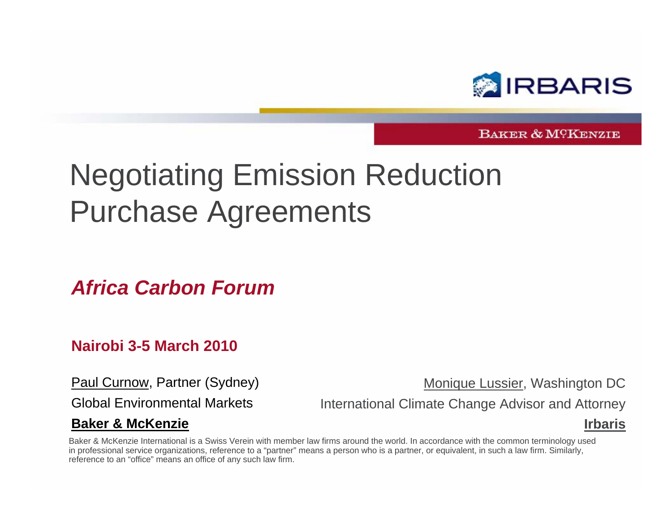

BAKER & MCKENZIE

### Negotiating Emission Reduction Purchase Agreements

*Africa Carbon Forum*

#### **Nairobi 3-5 March 2010**

Paul Curnow, Partner (Sydney)

Global Environmental Markets

#### **Baker & McKenzie**

Monique Lussier, Washington DC

International Climate Change Advisor and Attorney

#### **Irbaris**

Baker & McKenzie International is a Swiss Verein with member law firms around the world. In accordance with the common terminology used in professional service organizations, reference to a "partner" means a person who is a partner, or equivalent, in such a law firm. Similarly, reference to an "office" means an office of any such law firm.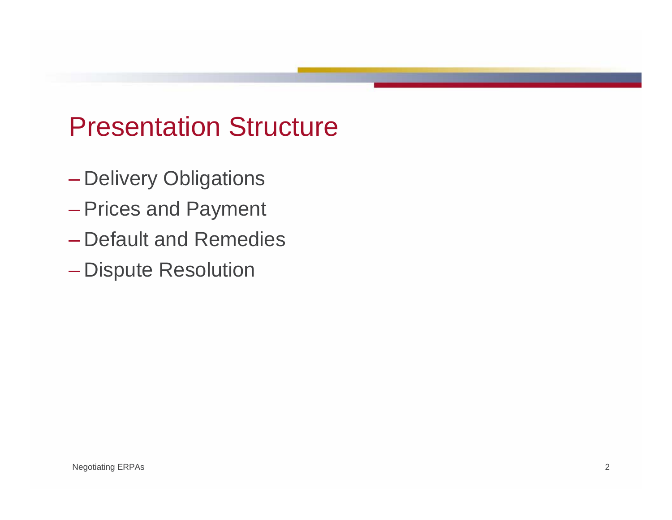#### Presentation Structure

- Delivery Obligations
- Prices and Payment
- Default and Remedies
- Dispute Resolution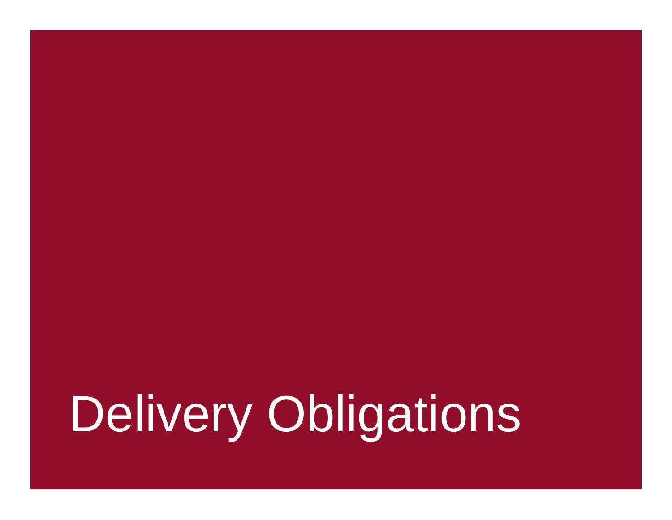# Delivery Obligations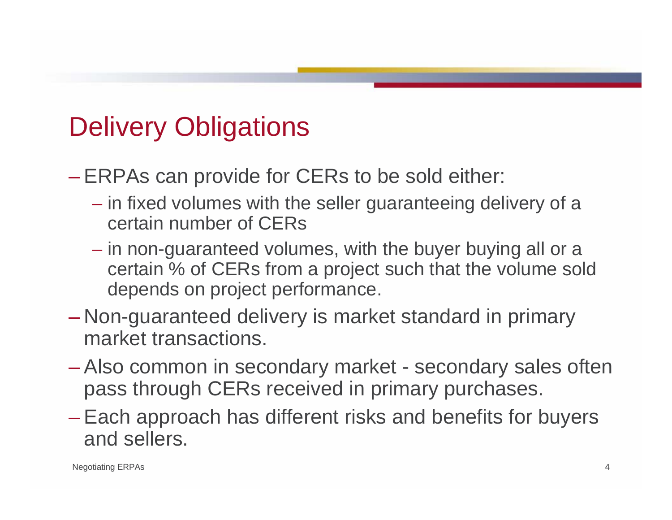### Delivery Obligations

– ERPAs can provide for CERs to be sold either:

- in fixed volumes with the seller guaranteeing delivery of a certain number of CERs
- in non-guaranteed volumes, with the buyer buying all or a certain % of CERs from a project such that the volume sold depends on project performance.
- Non-guaranteed delivery is market standard in primary market transactions.
- Also common in secondary market secondary sales often pass through CERs received in primary purchases.
- Each approach has different risks and benefits for buyers and sellers.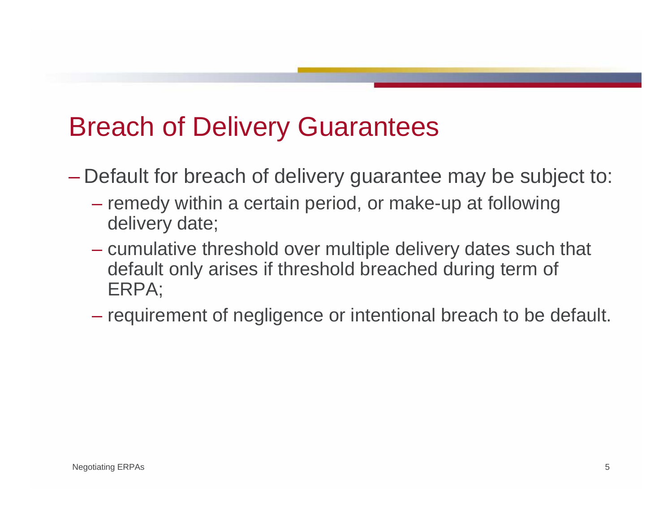#### Breach of Delivery Guarantees

- Default for breach of delivery guarantee may be subject to:
	- remedy within a certain period, or make-up at following delivery date;
	- cumulative threshold over multiple delivery dates such that default only arises if threshold breached during term of ERPA;
	- requirement of negligence or intentional breach to be default.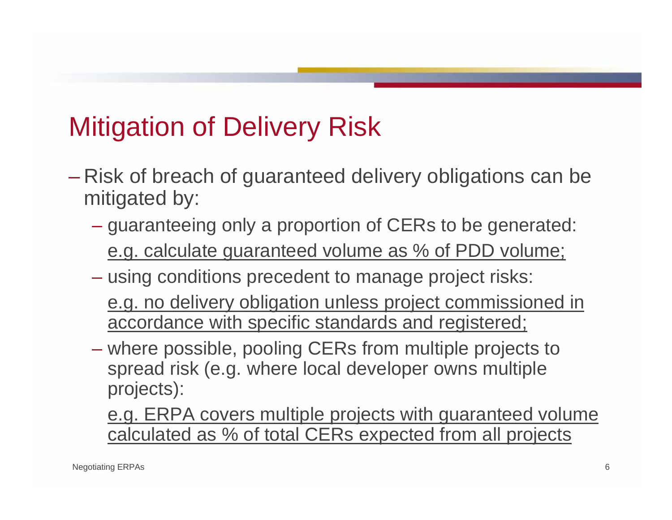### Mitigation of Delivery Risk

- Risk of breach of guaranteed delivery obligations can be mitigated by:
	- guaranteeing only a proportion of CERs to be generated: e.g. calculate guaranteed volume as % of PDD volume;
	- using conditions precedent to manage project risks:
		- e.g. no delivery obligation unless project commissioned in accordance with specific standards and registered;
	- where possible, pooling CERs from multiple projects to spread risk (e.g. where local developer owns multiple projects):
		- e.g. ERPA covers multiple projects with guaranteed volume calculated as % of total CERs expected from all projects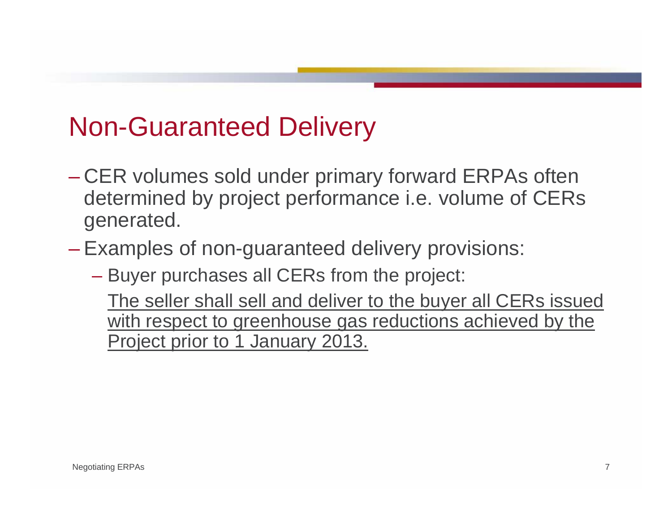### Non-Guaranteed Delivery

- CER volumes sold under primary forward ERPAs often determined by project performance i.e. volume of CERs generated.
- Examples of non-guaranteed delivery provisions:
	- Buyer purchases all CERs from the project:

The seller shall sell and deliver to the buyer all CERs issued with respect to greenhouse gas reductions achieved by the Project prior to 1 January 2013.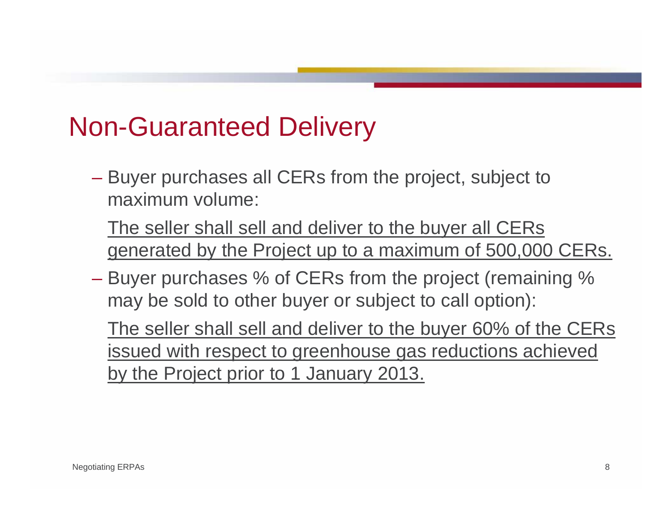#### Non-Guaranteed Delivery

– Buyer purchases all CERs from the project, subject to maximum volume:

The seller shall sell and deliver to the buyer all CERs generated by the Project up to a maximum of 500,000 CERs.

– Buyer purchases % of CERs from the project (remaining % may be sold to other buyer or subject to call option):

The seller shall sell and deliver to the buyer 60% of the CERs issued with respect to greenhouse gas reductions achieved by the Project prior to 1 January 2013.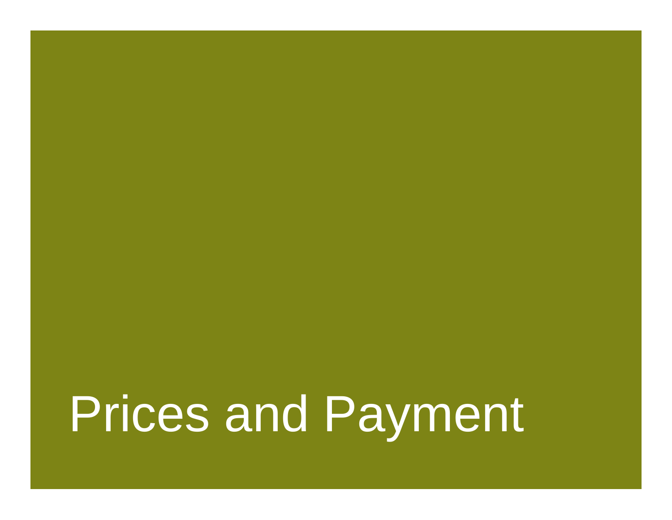Prices and Payment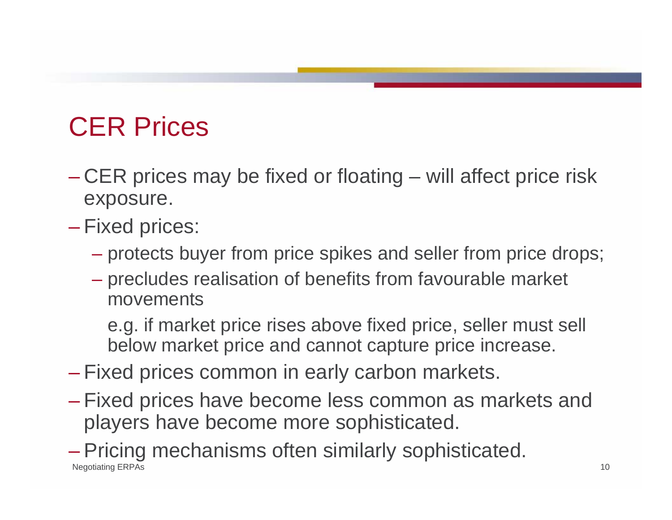### CER Prices

- CER prices may be fixed or floating will affect price risk exposure.
- Fixed prices:
	- protects buyer from price spikes and seller from price drops;
	- precludes realisation of benefits from favourable market movements

e.g. if market price rises above fixed price, seller must sell below market price and cannot capture price increase.

- Fixed prices common in early carbon markets.
- Fixed prices have become less common as markets and players have become more sophisticated.

Negotiating ERPAs 10 – Pricing mechanisms often similarly sophisticated.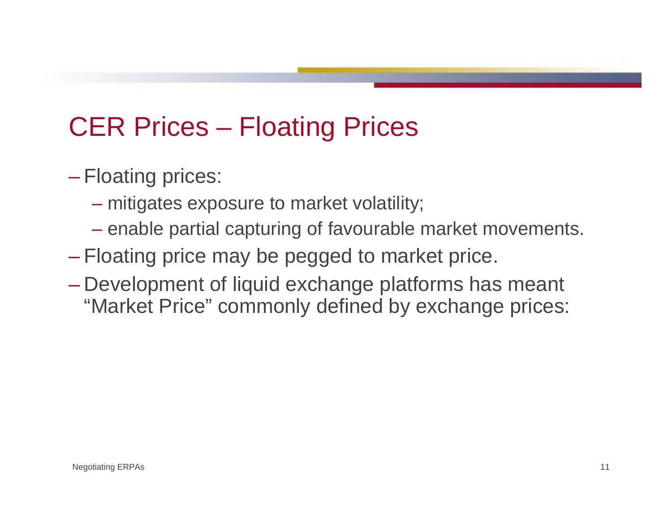### CER Prices – Floating Prices

- Floating prices:
	- mitigates exposure to market volatility;
	- enable partial capturing of favourable market movements.
- Floating price may be pegged to market price.
- Development of liquid exchange platforms has meant "Market Price" commonly defined by exchange prices: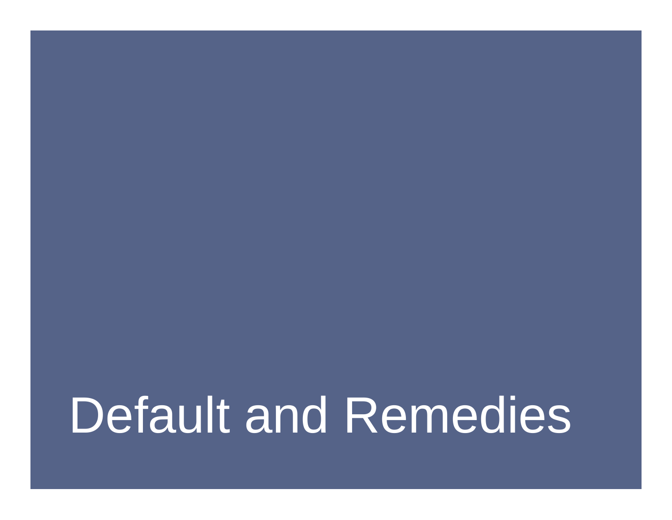## Default and Remedies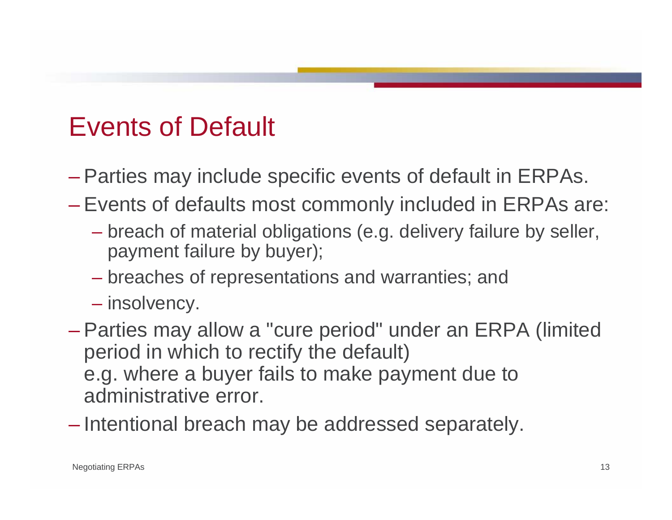#### Events of Default

- Parties may include specific events of default in ERPAs.
- Events of defaults most commonly included in ERPAs are:
	- breach of material obligations (e.g. delivery failure by seller, payment failure by buyer);
	- breaches of representations and warranties; and
	- insolvency.
- Parties may allow a "cure period" under an ERPA (limited period in which to rectify the default) e.g. where a buyer fails to make payment due to administrative error.
- Intentional breach may be addressed separately.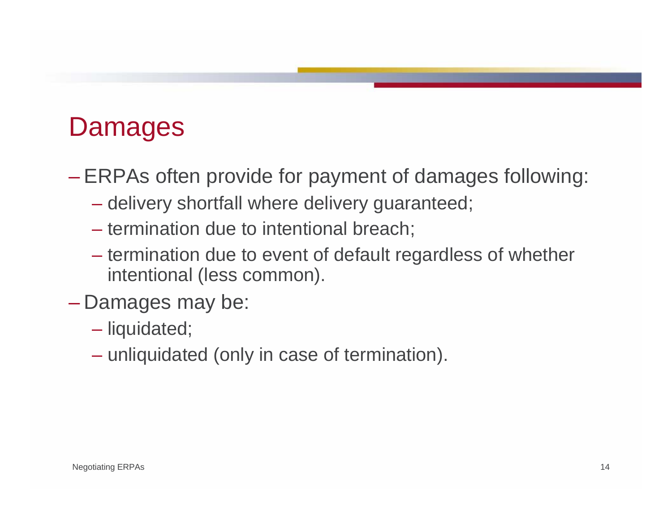#### Damages

– ERPAs often provide for payment of damages following:

- delivery shortfall where delivery guaranteed;
- termination due to intentional breach;
- termination due to event of default regardless of whether intentional (less common).
- Damages may be:
	- liquidated;
	- unliquidated (only in case of termination).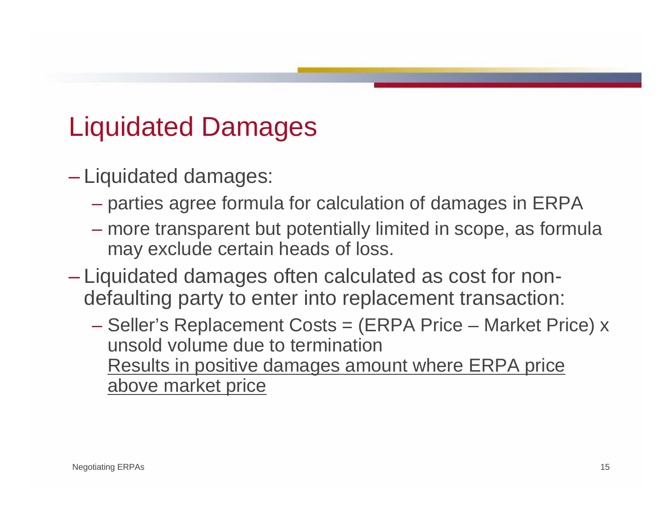### Liquidated Damages

- Liquidated damages:
	- parties agree formula for calculation of damages in ERPA
	- more transparent but potentially limited in scope, as formula may exclude certain heads of loss.
- Liquidated damages often calculated as cost for nondefaulting party to enter into replacement transaction:
	- Seller's Replacement Costs = (ERPA Price Market Price) x unsold volume due to termination Results in positive damages amount where ERPA price above market price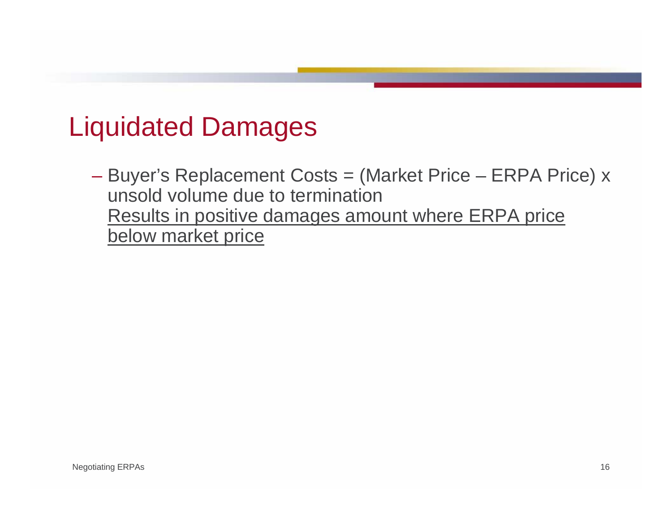#### Liquidated Damages

– Buyer's Replacement Costs = (Market Price – ERPA Price) x unsold volume due to termination Results in positive damages amount where ERPA price below market price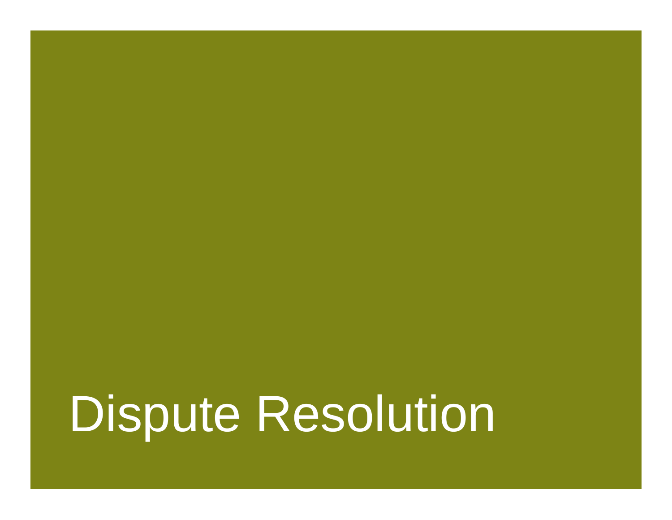Dispute Resolution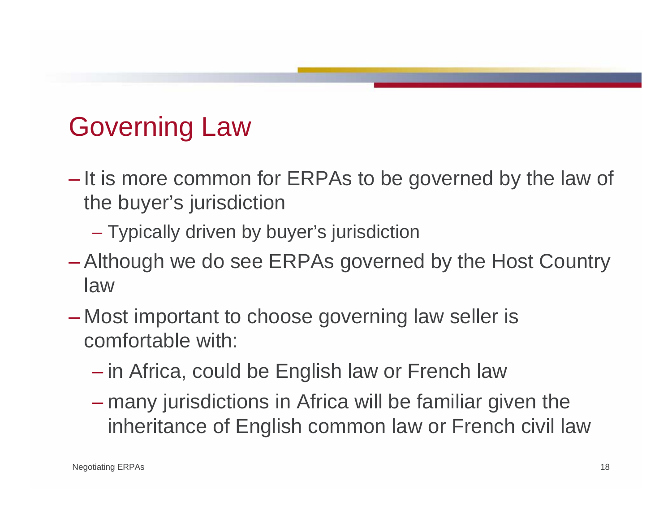### Governing Law

- It is more common for ERPAs to be governed by the law of the buyer's jurisdiction
	- Typically driven by buyer's jurisdiction
- Although we do see ERPAs governed by the Host Country law
- Most important to choose governing law seller is comfortable with:
	- in Africa, could be English law or French law
	- many jurisdictions in Africa will be familiar given the inheritance of English common law or French civil law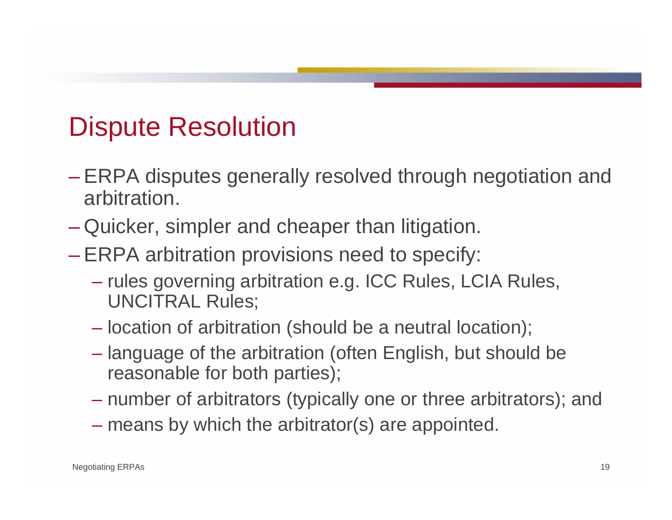#### Dispute Resolution

- ERPA disputes generally resolved through negotiation and arbitration.
- Quicker, simpler and cheaper than litigation.
- ERPA arbitration provisions need to specify:
	- rules governing arbitration e.g. ICC Rules, LCIA Rules, UNCITRAL Rules;
	- location of arbitration (should be a neutral location);
	- language of the arbitration (often English, but should be reasonable for both parties);
	- number of arbitrators (typically one or three arbitrators); and
	- means by which the arbitrator(s) are appointed.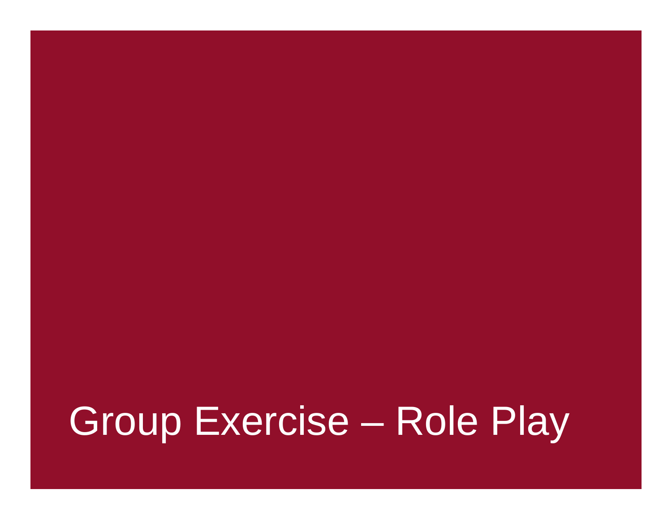## Group Exercise – Role Play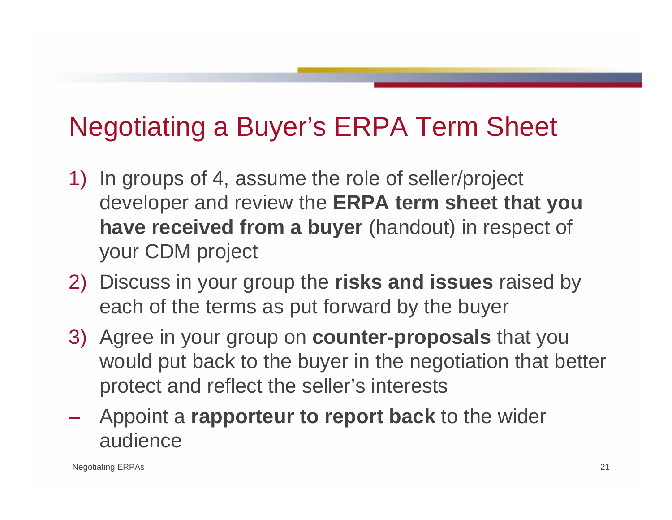### Negotiating a Buyer's ERPA Term Sheet

- 1) In groups of 4, assume the role of seller/project developer and review the **ERPA term sheet that you have received from a buyer** (handout) in respect of your CDM project
- 2) Discuss in your group the **risks and issues** raised by each of the terms as put forward by the buyer
- 3) Agree in your group on **counter-proposals** that you would put back to the buyer in the negotiation that better protect and reflect the seller's interests
- Appoint a **rapporteur to report back** to the wider audience